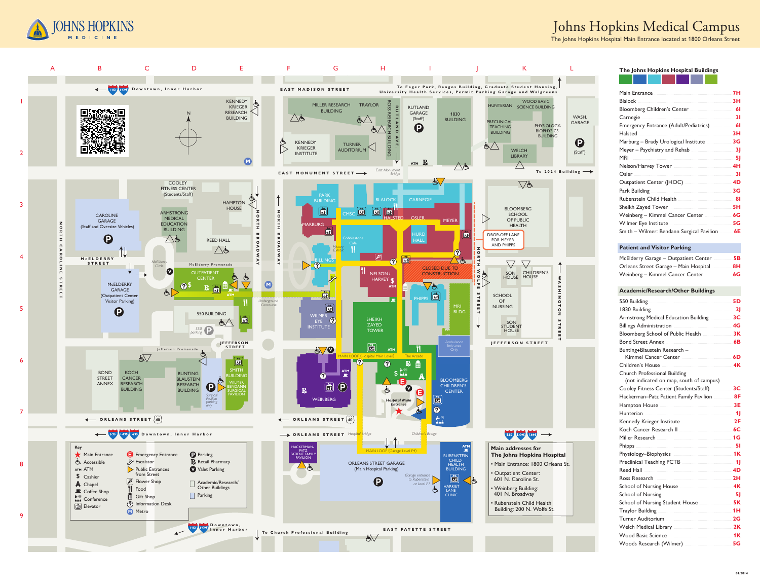



# Johns Hopkins Medical Campus

The Johns Hopkins Hospital Main Entrance located at 1800 Orleans Street

## The Johns Hopkins Hospital Buildings

| Main Entrance <b>Marine Marine Marine 1988</b>                                                                                                                                                                                       |           |
|--------------------------------------------------------------------------------------------------------------------------------------------------------------------------------------------------------------------------------------|-----------|
| Blalock 3H                                                                                                                                                                                                                           |           |
| Bloomberg Children's Center <b>Manual Action</b> 61                                                                                                                                                                                  |           |
| Carnegie 21 31                                                                                                                                                                                                                       |           |
|                                                                                                                                                                                                                                      |           |
| Halsted 3H                                                                                                                                                                                                                           |           |
| Marburg - Brady Urological Institute <b>Marburg - 3G</b>                                                                                                                                                                             |           |
| Meyer - Psychiatry and Rehab <b>Martin Advisor 31</b>                                                                                                                                                                                |           |
|                                                                                                                                                                                                                                      |           |
| Nelson/Harvey Tower Manuscritt Manuscritt 4H                                                                                                                                                                                         |           |
| Osler 21                                                                                                                                                                                                                             |           |
|                                                                                                                                                                                                                                      |           |
|                                                                                                                                                                                                                                      |           |
| Rubenstein Child Health <b>Museum Australian Rubenstein</b> Child                                                                                                                                                                    |           |
| Sheikh Zayed Tower Manuel Manuel 3H                                                                                                                                                                                                  |           |
|                                                                                                                                                                                                                                      |           |
| Wilmer Eye Institute Manual Manual Milmer 5G                                                                                                                                                                                         |           |
| Smith - Wilmer: Bendann Surgical Pavilion  6E                                                                                                                                                                                        |           |
|                                                                                                                                                                                                                                      |           |
| <b>Patient and Visitor Parking</b>                                                                                                                                                                                                   |           |
| McElderry Garage - Outpatient Center <b>Mullers</b> 5B                                                                                                                                                                               |           |
| Orleans Street Garage - Main Hospital <b>8H</b>                                                                                                                                                                                      |           |
|                                                                                                                                                                                                                                      |           |
|                                                                                                                                                                                                                                      |           |
| <b>Academic/Research/Other Buildings</b>                                                                                                                                                                                             |           |
|                                                                                                                                                                                                                                      |           |
|                                                                                                                                                                                                                                      | <b>5D</b> |
|                                                                                                                                                                                                                                      |           |
| Armstrong Medical Education Building <b>Marshall</b> 3C                                                                                                                                                                              |           |
| Billings Administration 2008 2014 2015                                                                                                                                                                                               |           |
| Bloomberg School of Public Health <b>Markon</b> 3K                                                                                                                                                                                   |           |
|                                                                                                                                                                                                                                      |           |
| Bunting+Blaustein Research -                                                                                                                                                                                                         |           |
| Kimmel Cancer Center <b>Election Contract Contract Contract Contract Contract Contract Contract Contract Contract Contract Contract Contract Contract Contract Contract Contract Contract Contract Contract Contract Contract Co</b> |           |
| Children's House <b>Manual Accord Paradetect Product</b>                                                                                                                                                                             | 4K        |
| <b>Church Professional Building</b>                                                                                                                                                                                                  |           |
| (not indicated on map, south of campus)                                                                                                                                                                                              |           |
| Cooley Fitness Center (Students/Staff) <b>2C</b>                                                                                                                                                                                     |           |
| Hackerman-Patz Patient Family Pavilion <b>28F</b>                                                                                                                                                                                    |           |
|                                                                                                                                                                                                                                      |           |
| Hunterian 2008 - 2008 - 2010 12:00 12:00 12:00 12:00 12:00 12:00 12:00 12:00 12:00 12:00 12:00 12:00 12:00 12:0                                                                                                                      |           |
| Kennedy Krieger Institute <b>Manual Accord 2F</b>                                                                                                                                                                                    |           |
| Koch Cancer Research II <u><b>Annual American Cancer Active</b></u>                                                                                                                                                                  |           |
| Miller Research 2008 16                                                                                                                                                                                                              |           |
|                                                                                                                                                                                                                                      |           |
| Physiology-Biophysics Manual Manual Manual 1K                                                                                                                                                                                        |           |
|                                                                                                                                                                                                                                      |           |
|                                                                                                                                                                                                                                      |           |
| Ross Research <u>Manuel Alexander Constant 2H</u>                                                                                                                                                                                    |           |
| School of Nursing House <b>Manual American</b> 4K                                                                                                                                                                                    |           |
|                                                                                                                                                                                                                                      |           |
| School of Nursing Student House <b>Manual</b> 5K                                                                                                                                                                                     |           |
|                                                                                                                                                                                                                                      |           |
| Turner Auditorium <b>Maria Australia de La Constitución de la Constitución de la Constitución de la Constitución</b>                                                                                                                 | 2G        |
| Welch Medical Library 2K                                                                                                                                                                                                             |           |

**Wood Basic Science** 

Woods Research (Wilmer)

 $.1K$ 

 $5G$